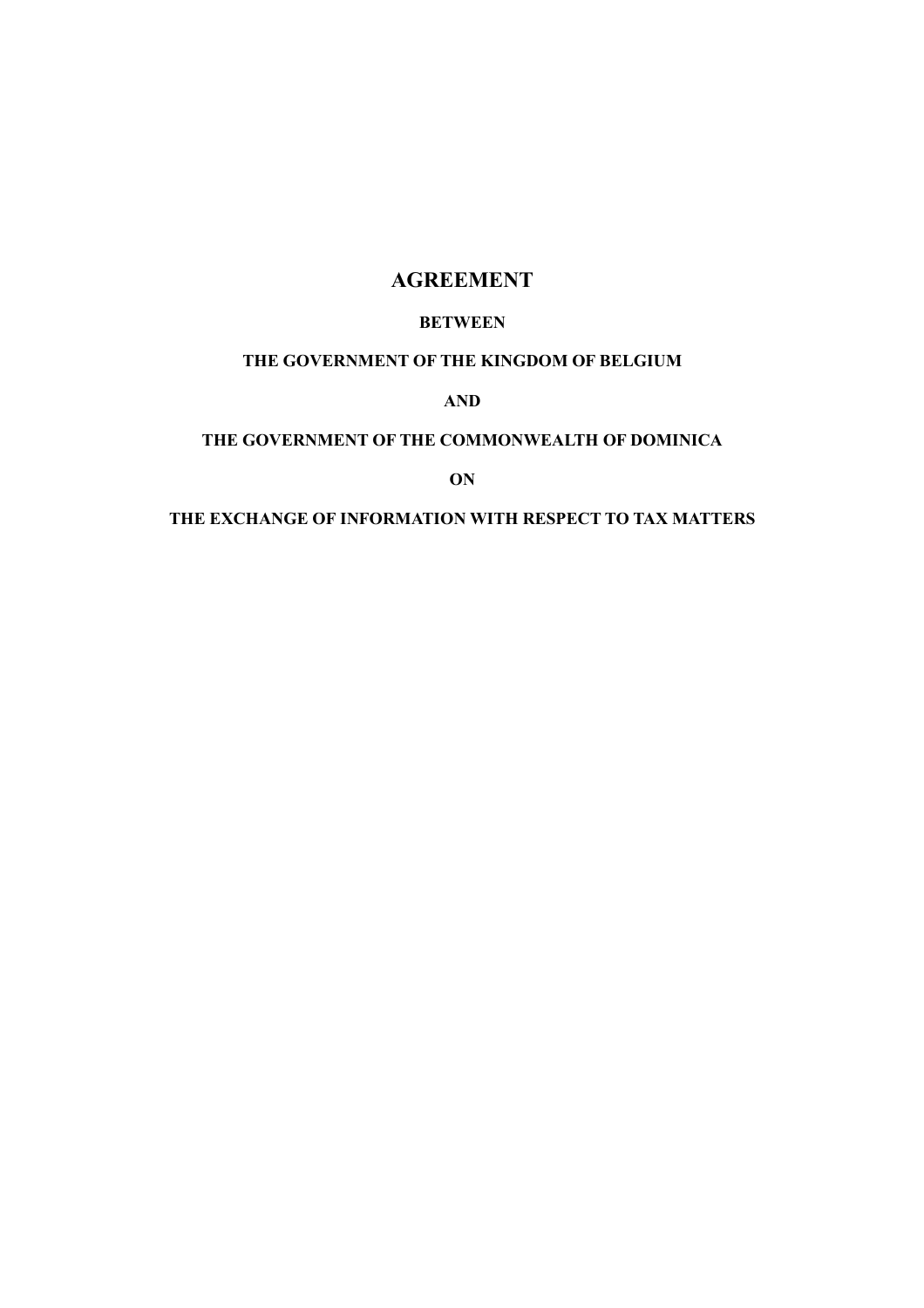# AGREEMENT

### BETWEEN

## THE GOVERNMENT OF THE KINGDOM OF BELGIUM

AND

## THE GOVERNMENT OF THE COMMONWEALTH OF DOMINICA

**ON** 

### THE EXCHANGE OF INFORMATION WITH RESPECT TO TAX MATTERS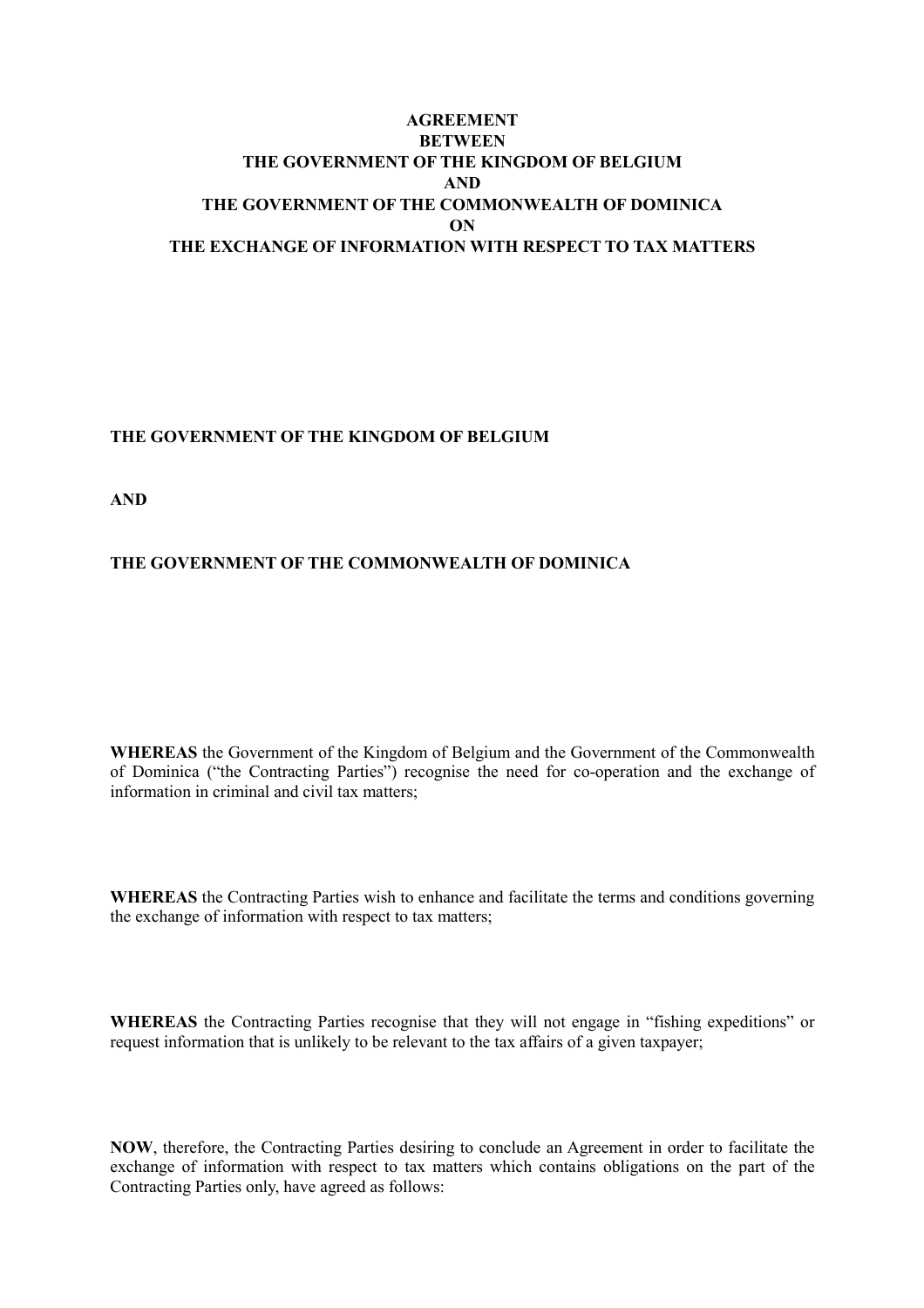## **AGREEMENT BETWEEN** THE GOVERNMENT OF THE KINGDOM OF BELGIUM AND THE GOVERNMENT OF THE COMMONWEALTH OF DOMINICA ON THE EXCHANGE OF INFORMATION WITH RESPECT TO TAX MATTERS

## THE GOVERNMENT OF THE KINGDOM OF BELGIUM

AND

### THE GOVERNMENT OF THE COMMONWEALTH OF DOMINICA

WHEREAS the Government of the Kingdom of Belgium and the Government of the Commonwealth of Dominica ("the Contracting Parties") recognise the need for co-operation and the exchange of information in criminal and civil tax matters;

WHEREAS the Contracting Parties wish to enhance and facilitate the terms and conditions governing the exchange of information with respect to tax matters;

WHEREAS the Contracting Parties recognise that they will not engage in "fishing expeditions" or request information that is unlikely to be relevant to the tax affairs of a given taxpayer;

NOW, therefore, the Contracting Parties desiring to conclude an Agreement in order to facilitate the exchange of information with respect to tax matters which contains obligations on the part of the Contracting Parties only, have agreed as follows: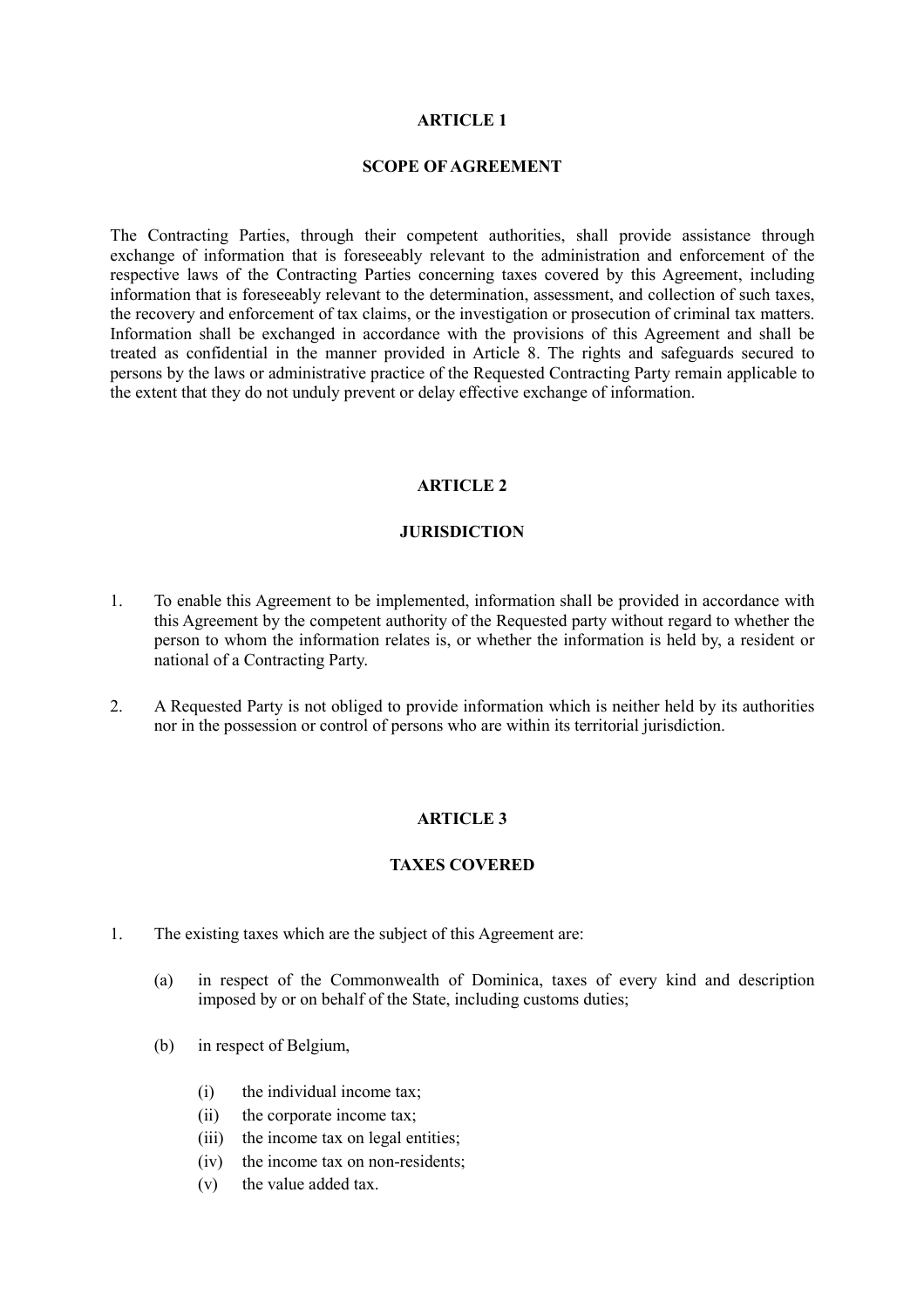#### SCOPE OF AGREEMENT

The Contracting Parties, through their competent authorities, shall provide assistance through exchange of information that is foreseeably relevant to the administration and enforcement of the respective laws of the Contracting Parties concerning taxes covered by this Agreement, including information that is foreseeably relevant to the determination, assessment, and collection of such taxes, the recovery and enforcement of tax claims, or the investigation or prosecution of criminal tax matters. Information shall be exchanged in accordance with the provisions of this Agreement and shall be treated as confidential in the manner provided in Article 8. The rights and safeguards secured to persons by the laws or administrative practice of the Requested Contracting Party remain applicable to the extent that they do not unduly prevent or delay effective exchange of information.

### ARTICLE 2

#### **JURISDICTION**

- 1. To enable this Agreement to be implemented, information shall be provided in accordance with this Agreement by the competent authority of the Requested party without regard to whether the person to whom the information relates is, or whether the information is held by, a resident or national of a Contracting Party.
- 2. A Requested Party is not obliged to provide information which is neither held by its authorities nor in the possession or control of persons who are within its territorial jurisdiction.

### ARTICLE 3

#### TAXES COVERED

- 1. The existing taxes which are the subject of this Agreement are:
	- (a) in respect of the Commonwealth of Dominica, taxes of every kind and description imposed by or on behalf of the State, including customs duties;
	- (b) in respect of Belgium,
		- (i) the individual income tax;
		- (ii) the corporate income tax;
		- (iii) the income tax on legal entities;
		- (iv) the income tax on non-residents;
		- (v) the value added tax.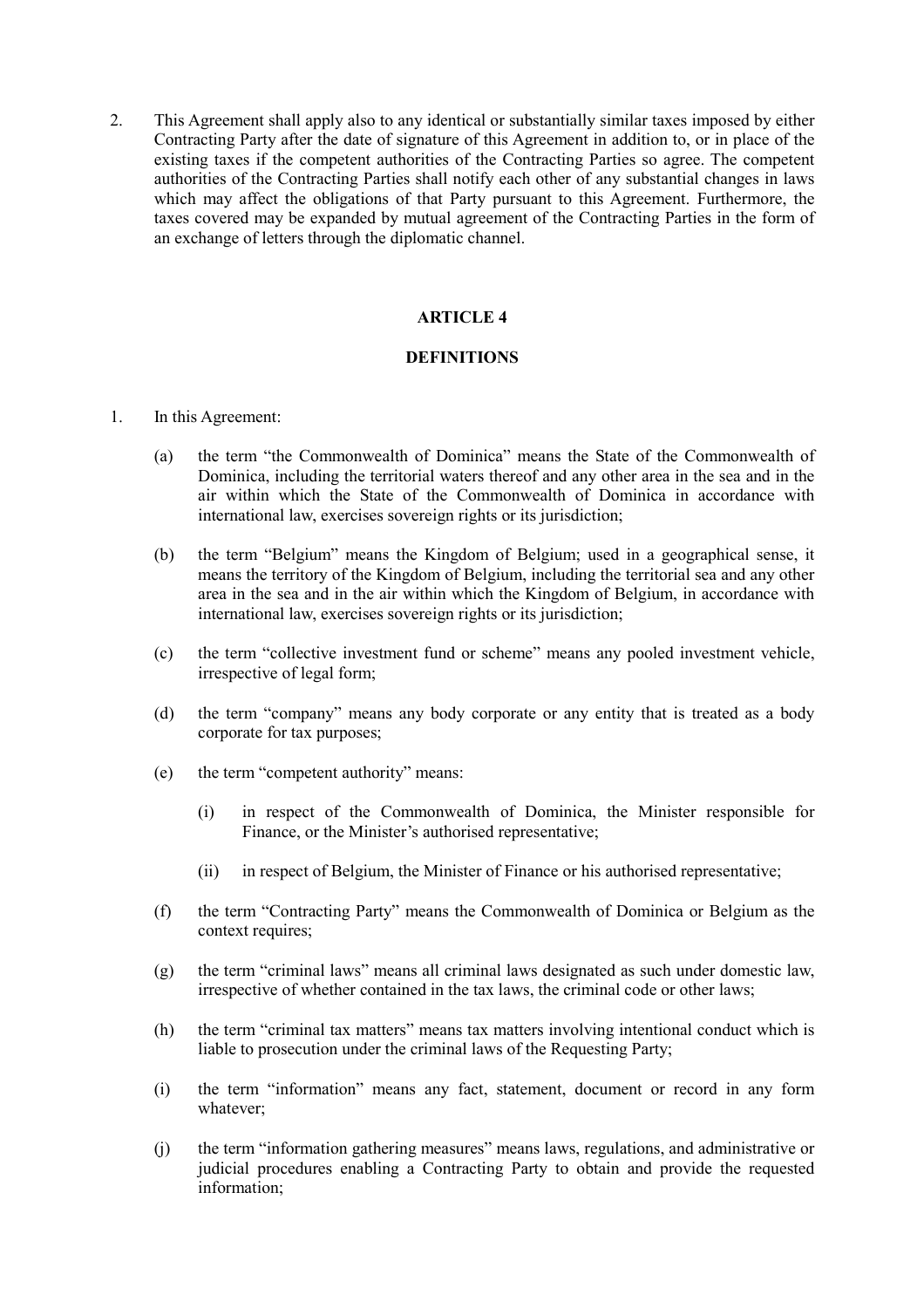2. This Agreement shall apply also to any identical or substantially similar taxes imposed by either Contracting Party after the date of signature of this Agreement in addition to, or in place of the existing taxes if the competent authorities of the Contracting Parties so agree. The competent authorities of the Contracting Parties shall notify each other of any substantial changes in laws which may affect the obligations of that Party pursuant to this Agreement. Furthermore, the taxes covered may be expanded by mutual agreement of the Contracting Parties in the form of an exchange of letters through the diplomatic channel.

### ARTICLE 4

### DEFINITIONS

- 1. In this Agreement:
	- (a) the term "the Commonwealth of Dominica" means the State of the Commonwealth of Dominica, including the territorial waters thereof and any other area in the sea and in the air within which the State of the Commonwealth of Dominica in accordance with international law, exercises sovereign rights or its jurisdiction;
	- (b) the term "Belgium" means the Kingdom of Belgium; used in a geographical sense, it means the territory of the Kingdom of Belgium, including the territorial sea and any other area in the sea and in the air within which the Kingdom of Belgium, in accordance with international law, exercises sovereign rights or its jurisdiction;
	- (c) the term "collective investment fund or scheme" means any pooled investment vehicle, irrespective of legal form;
	- (d) the term "company" means any body corporate or any entity that is treated as a body corporate for tax purposes;
	- (e) the term "competent authority" means:
		- (i) in respect of the Commonwealth of Dominica, the Minister responsible for Finance, or the Minister's authorised representative;
		- (ii) in respect of Belgium, the Minister of Finance or his authorised representative;
	- (f) the term "Contracting Party" means the Commonwealth of Dominica or Belgium as the context requires;
	- (g) the term "criminal laws" means all criminal laws designated as such under domestic law, irrespective of whether contained in the tax laws, the criminal code or other laws;
	- (h) the term "criminal tax matters" means tax matters involving intentional conduct which is liable to prosecution under the criminal laws of the Requesting Party;
	- (i) the term "information" means any fact, statement, document or record in any form whatever;
	- (j) the term "information gathering measures" means laws, regulations, and administrative or judicial procedures enabling a Contracting Party to obtain and provide the requested information;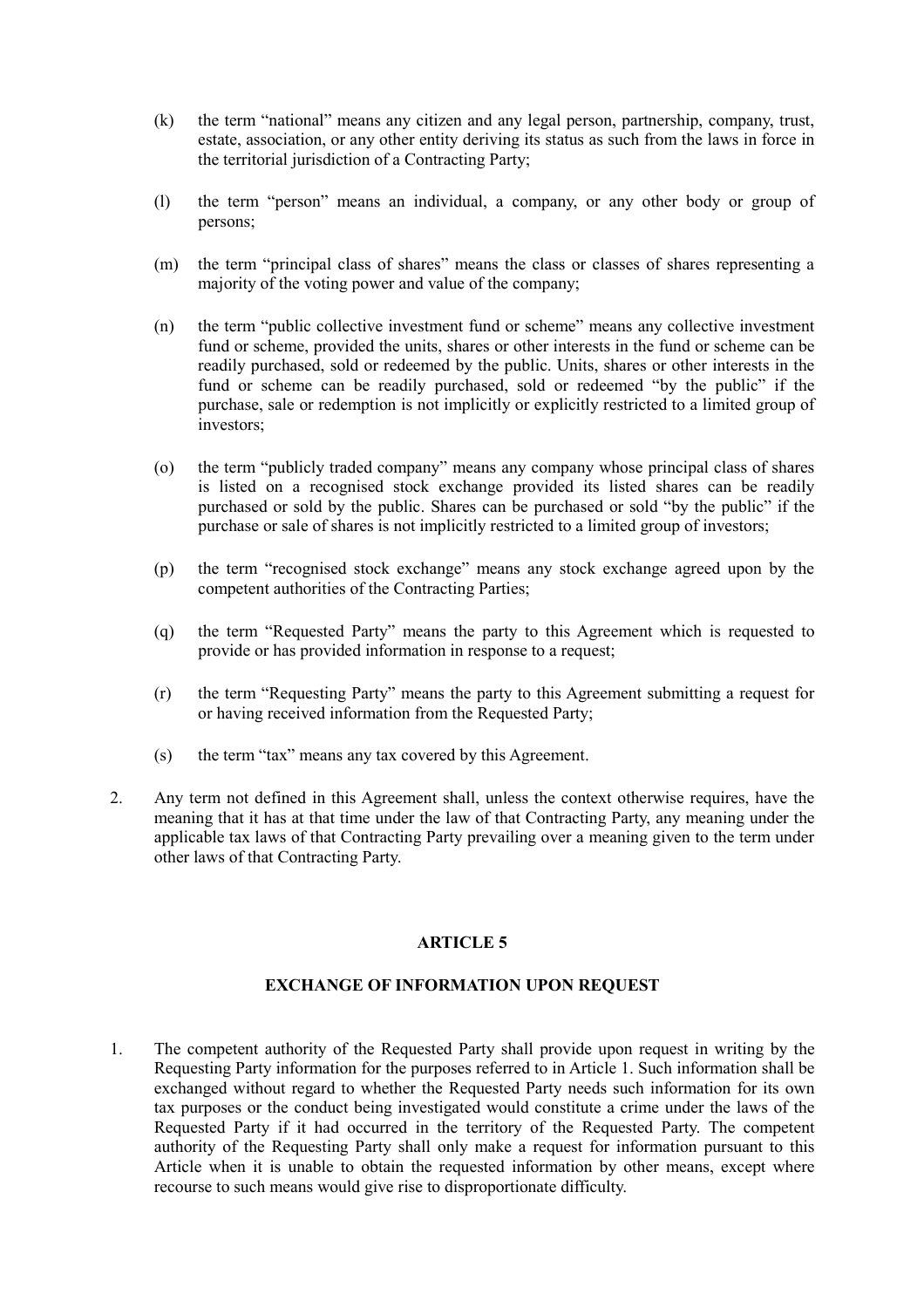- (k) the term "national" means any citizen and any legal person, partnership, company, trust, estate, association, or any other entity deriving its status as such from the laws in force in the territorial jurisdiction of a Contracting Party;
- (l) the term "person" means an individual, a company, or any other body or group of persons;
- (m) the term "principal class of shares" means the class or classes of shares representing a majority of the voting power and value of the company;
- (n) the term "public collective investment fund or scheme" means any collective investment fund or scheme, provided the units, shares or other interests in the fund or scheme can be readily purchased, sold or redeemed by the public. Units, shares or other interests in the fund or scheme can be readily purchased, sold or redeemed "by the public" if the purchase, sale or redemption is not implicitly or explicitly restricted to a limited group of investors;
- (o) the term "publicly traded company" means any company whose principal class of shares is listed on a recognised stock exchange provided its listed shares can be readily purchased or sold by the public. Shares can be purchased or sold "by the public" if the purchase or sale of shares is not implicitly restricted to a limited group of investors;
- (p) the term "recognised stock exchange" means any stock exchange agreed upon by the competent authorities of the Contracting Parties;
- (q) the term "Requested Party" means the party to this Agreement which is requested to provide or has provided information in response to a request;
- (r) the term "Requesting Party" means the party to this Agreement submitting a request for or having received information from the Requested Party;
- (s) the term "tax" means any tax covered by this Agreement.
- 2. Any term not defined in this Agreement shall, unless the context otherwise requires, have the meaning that it has at that time under the law of that Contracting Party, any meaning under the applicable tax laws of that Contracting Party prevailing over a meaning given to the term under other laws of that Contracting Party.

### EXCHANGE OF INFORMATION UPON REQUEST

1. The competent authority of the Requested Party shall provide upon request in writing by the Requesting Party information for the purposes referred to in Article 1. Such information shall be exchanged without regard to whether the Requested Party needs such information for its own tax purposes or the conduct being investigated would constitute a crime under the laws of the Requested Party if it had occurred in the territory of the Requested Party. The competent authority of the Requesting Party shall only make a request for information pursuant to this Article when it is unable to obtain the requested information by other means, except where recourse to such means would give rise to disproportionate difficulty.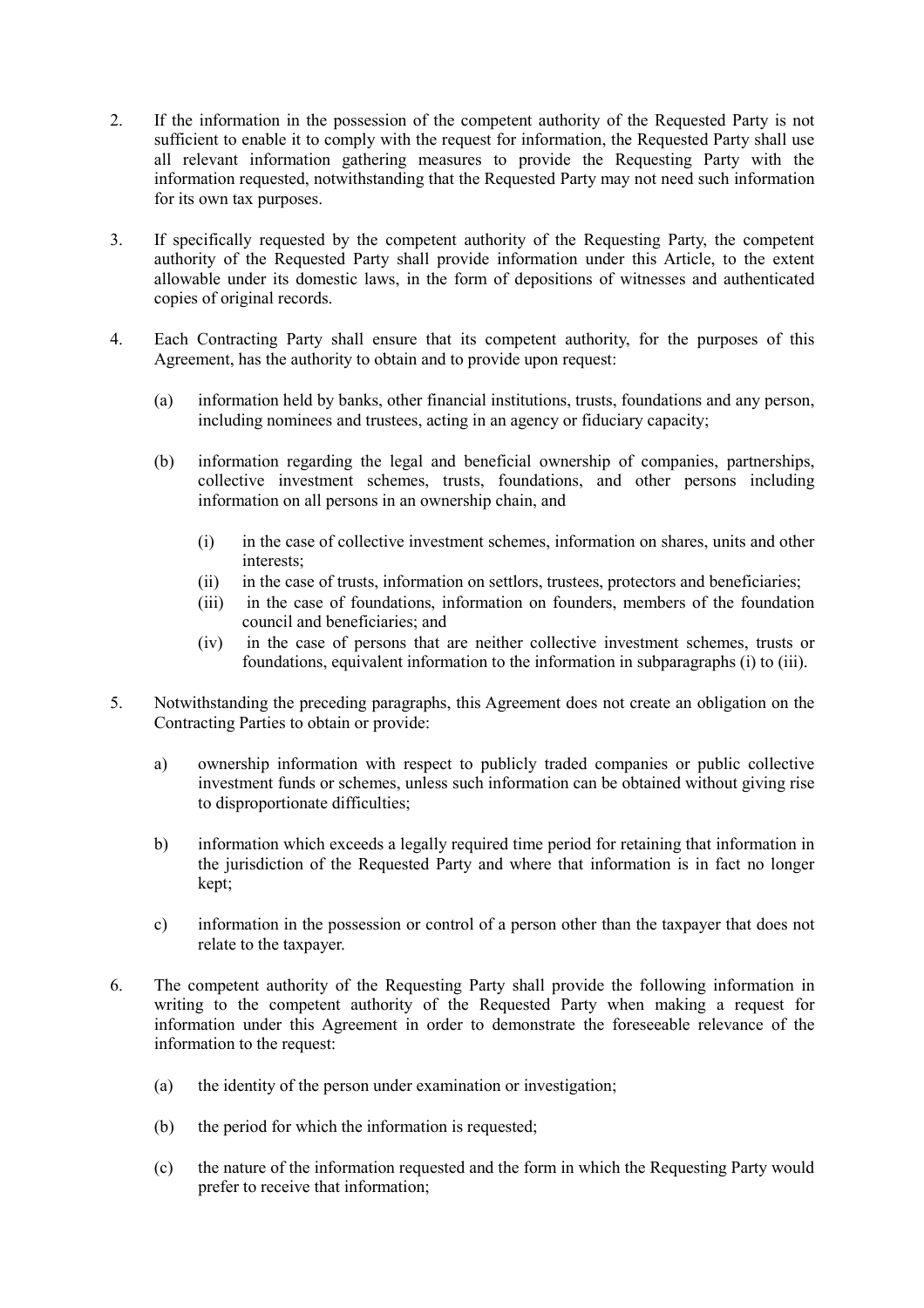- 2. If the information in the possession of the competent authority of the Requested Party is not sufficient to enable it to comply with the request for information, the Requested Party shall use all relevant information gathering measures to provide the Requesting Party with the information requested, notwithstanding that the Requested Party may not need such information for its own tax purposes.
- 3. If specifically requested by the competent authority of the Requesting Party, the competent authority of the Requested Party shall provide information under this Article, to the extent allowable under its domestic laws, in the form of depositions of witnesses and authenticated copies of original records.
- 4. Each Contracting Party shall ensure that its competent authority, for the purposes of this Agreement, has the authority to obtain and to provide upon request:
	- (a) information held by banks, other financial institutions, trusts, foundations and any person, including nominees and trustees, acting in an agency or fiduciary capacity;
	- (b) information regarding the legal and beneficial ownership of companies, partnerships, collective investment schemes, trusts, foundations, and other persons including information on all persons in an ownership chain, and
		- (i) in the case of collective investment schemes, information on shares, units and other interests;
		- (ii) in the case of trusts, information on settlors, trustees, protectors and beneficiaries;
		- (iii) in the case of foundations, information on founders, members of the foundation council and beneficiaries; and
		- (iv) in the case of persons that are neither collective investment schemes, trusts or foundations, equivalent information to the information in subparagraphs (i) to (iii).
- 5. Notwithstanding the preceding paragraphs, this Agreement does not create an obligation on the Contracting Parties to obtain or provide:
	- a) ownership information with respect to publicly traded companies or public collective investment funds or schemes, unless such information can be obtained without giving rise to disproportionate difficulties;
	- b) information which exceeds a legally required time period for retaining that information in the jurisdiction of the Requested Party and where that information is in fact no longer kept;
	- c) information in the possession or control of a person other than the taxpayer that does not relate to the taxpayer.
- 6. The competent authority of the Requesting Party shall provide the following information in writing to the competent authority of the Requested Party when making a request for information under this Agreement in order to demonstrate the foreseeable relevance of the information to the request:
	- (a) the identity of the person under examination or investigation;
	- (b) the period for which the information is requested;
	- (c) the nature of the information requested and the form in which the Requesting Party would prefer to receive that information;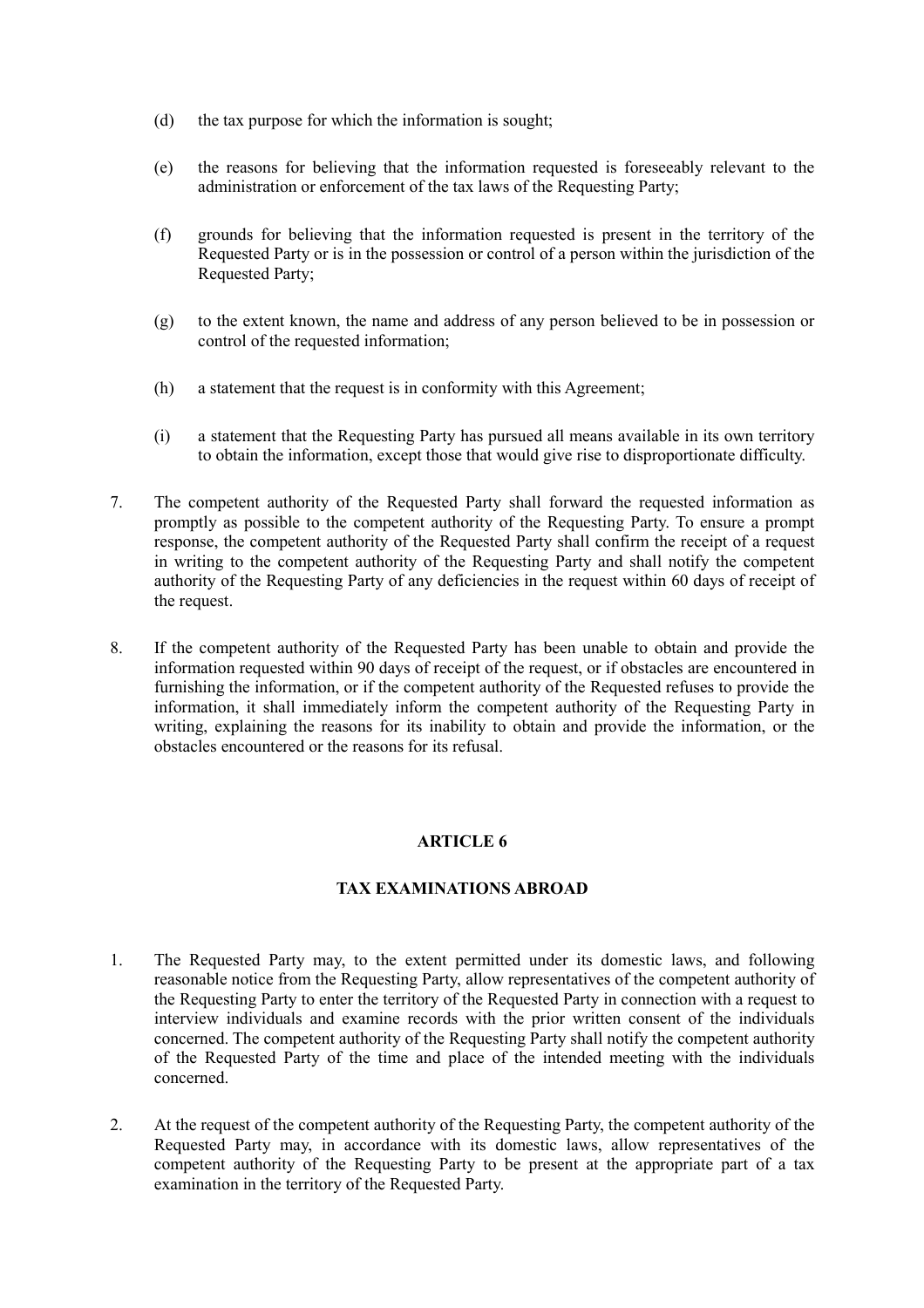- (d) the tax purpose for which the information is sought;
- (e) the reasons for believing that the information requested is foreseeably relevant to the administration or enforcement of the tax laws of the Requesting Party;
- (f) grounds for believing that the information requested is present in the territory of the Requested Party or is in the possession or control of a person within the jurisdiction of the Requested Party;
- (g) to the extent known, the name and address of any person believed to be in possession or control of the requested information;
- (h) a statement that the request is in conformity with this Agreement;
- (i) a statement that the Requesting Party has pursued all means available in its own territory to obtain the information, except those that would give rise to disproportionate difficulty.
- 7. The competent authority of the Requested Party shall forward the requested information as promptly as possible to the competent authority of the Requesting Party. To ensure a prompt response, the competent authority of the Requested Party shall confirm the receipt of a request in writing to the competent authority of the Requesting Party and shall notify the competent authority of the Requesting Party of any deficiencies in the request within 60 days of receipt of the request.
- 8. If the competent authority of the Requested Party has been unable to obtain and provide the information requested within 90 days of receipt of the request, or if obstacles are encountered in furnishing the information, or if the competent authority of the Requested refuses to provide the information, it shall immediately inform the competent authority of the Requesting Party in writing, explaining the reasons for its inability to obtain and provide the information, or the obstacles encountered or the reasons for its refusal.

## TAX EXAMINATIONS ABROAD

- 1. The Requested Party may, to the extent permitted under its domestic laws, and following reasonable notice from the Requesting Party, allow representatives of the competent authority of the Requesting Party to enter the territory of the Requested Party in connection with a request to interview individuals and examine records with the prior written consent of the individuals concerned. The competent authority of the Requesting Party shall notify the competent authority of the Requested Party of the time and place of the intended meeting with the individuals concerned.
- 2. At the request of the competent authority of the Requesting Party, the competent authority of the Requested Party may, in accordance with its domestic laws, allow representatives of the competent authority of the Requesting Party to be present at the appropriate part of a tax examination in the territory of the Requested Party.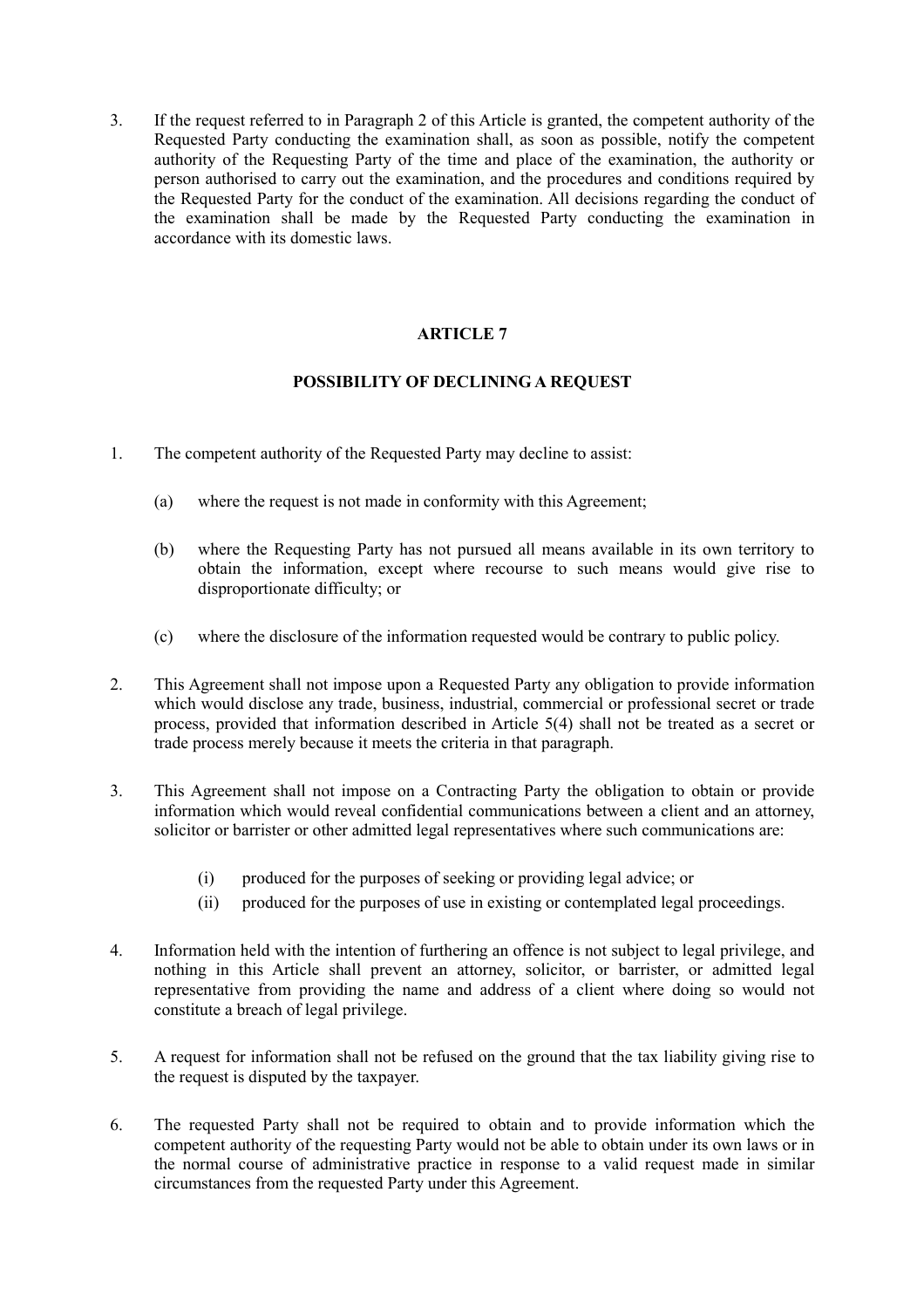3. If the request referred to in Paragraph 2 of this Article is granted, the competent authority of the Requested Party conducting the examination shall, as soon as possible, notify the competent authority of the Requesting Party of the time and place of the examination, the authority or person authorised to carry out the examination, and the procedures and conditions required by the Requested Party for the conduct of the examination. All decisions regarding the conduct of the examination shall be made by the Requested Party conducting the examination in accordance with its domestic laws.

## ARTICLE 7

## POSSIBILITY OF DECLINING A REQUEST

- 1. The competent authority of the Requested Party may decline to assist:
	- (a) where the request is not made in conformity with this Agreement;
	- (b) where the Requesting Party has not pursued all means available in its own territory to obtain the information, except where recourse to such means would give rise to disproportionate difficulty; or
	- (c) where the disclosure of the information requested would be contrary to public policy.
- 2. This Agreement shall not impose upon a Requested Party any obligation to provide information which would disclose any trade, business, industrial, commercial or professional secret or trade process, provided that information described in Article 5(4) shall not be treated as a secret or trade process merely because it meets the criteria in that paragraph.
- 3. This Agreement shall not impose on a Contracting Party the obligation to obtain or provide information which would reveal confidential communications between a client and an attorney, solicitor or barrister or other admitted legal representatives where such communications are:
	- (i) produced for the purposes of seeking or providing legal advice; or
	- (ii) produced for the purposes of use in existing or contemplated legal proceedings.
- 4. Information held with the intention of furthering an offence is not subject to legal privilege, and nothing in this Article shall prevent an attorney, solicitor, or barrister, or admitted legal representative from providing the name and address of a client where doing so would not constitute a breach of legal privilege.
- 5. A request for information shall not be refused on the ground that the tax liability giving rise to the request is disputed by the taxpayer.
- 6. The requested Party shall not be required to obtain and to provide information which the competent authority of the requesting Party would not be able to obtain under its own laws or in the normal course of administrative practice in response to a valid request made in similar circumstances from the requested Party under this Agreement.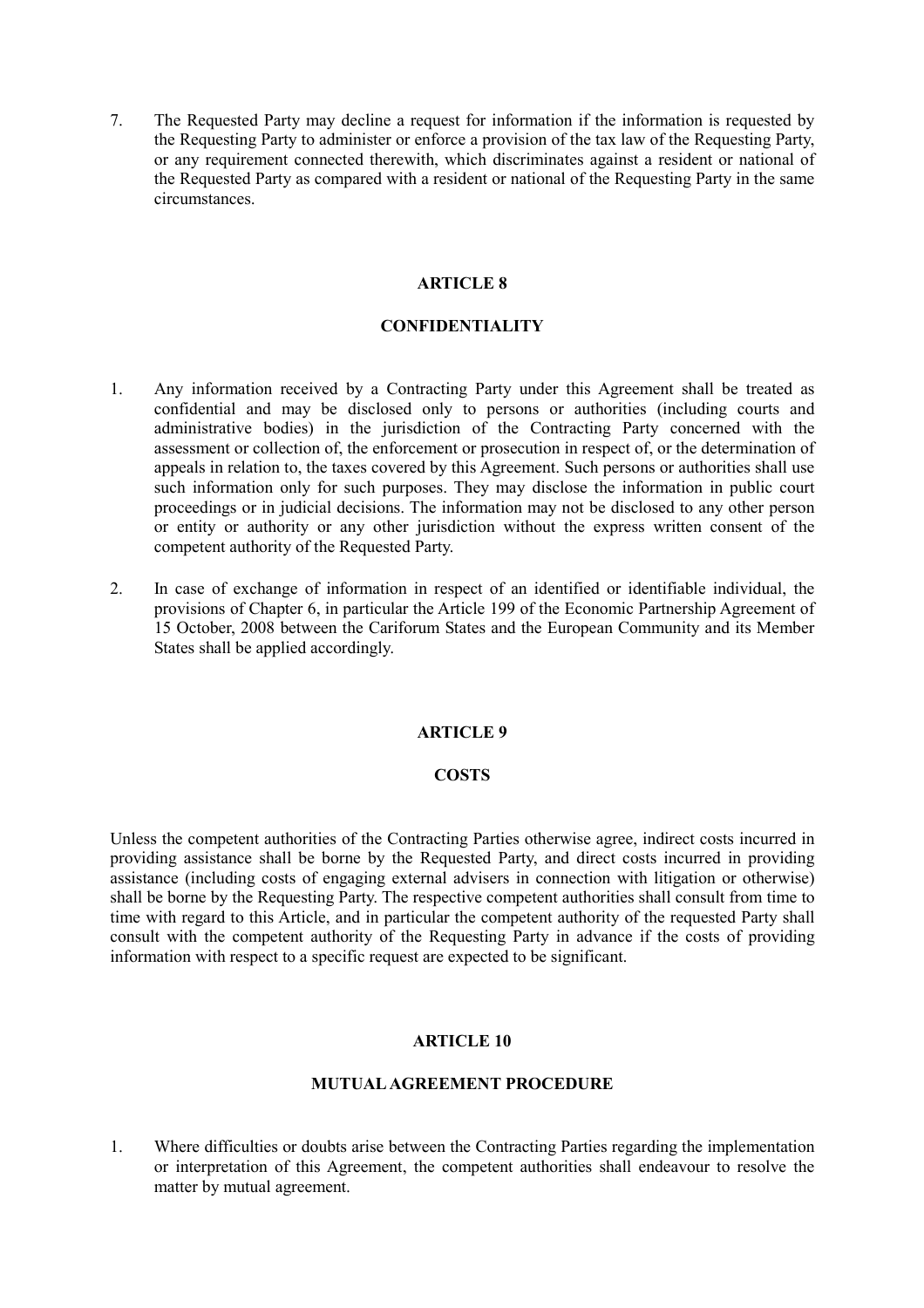7. The Requested Party may decline a request for information if the information is requested by the Requesting Party to administer or enforce a provision of the tax law of the Requesting Party, or any requirement connected therewith, which discriminates against a resident or national of the Requested Party as compared with a resident or national of the Requesting Party in the same circumstances.

### ARTICLE 8

### CONFIDENTIALITY

- 1. Any information received by a Contracting Party under this Agreement shall be treated as confidential and may be disclosed only to persons or authorities (including courts and administrative bodies) in the jurisdiction of the Contracting Party concerned with the assessment or collection of, the enforcement or prosecution in respect of, or the determination of appeals in relation to, the taxes covered by this Agreement. Such persons or authorities shall use such information only for such purposes. They may disclose the information in public court proceedings or in judicial decisions. The information may not be disclosed to any other person or entity or authority or any other jurisdiction without the express written consent of the competent authority of the Requested Party.
- 2. In case of exchange of information in respect of an identified or identifiable individual, the provisions of Chapter 6, in particular the Article 199 of the Economic Partnership Agreement of 15 October, 2008 between the Cariforum States and the European Community and its Member States shall be applied accordingly.

## ARTICLE 9

## **COSTS**

Unless the competent authorities of the Contracting Parties otherwise agree, indirect costs incurred in providing assistance shall be borne by the Requested Party, and direct costs incurred in providing assistance (including costs of engaging external advisers in connection with litigation or otherwise) shall be borne by the Requesting Party. The respective competent authorities shall consult from time to time with regard to this Article, and in particular the competent authority of the requested Party shall consult with the competent authority of the Requesting Party in advance if the costs of providing information with respect to a specific request are expected to be significant.

## ARTICLE 10

### MUTUAL AGREEMENT PROCEDURE

1. Where difficulties or doubts arise between the Contracting Parties regarding the implementation or interpretation of this Agreement, the competent authorities shall endeavour to resolve the matter by mutual agreement.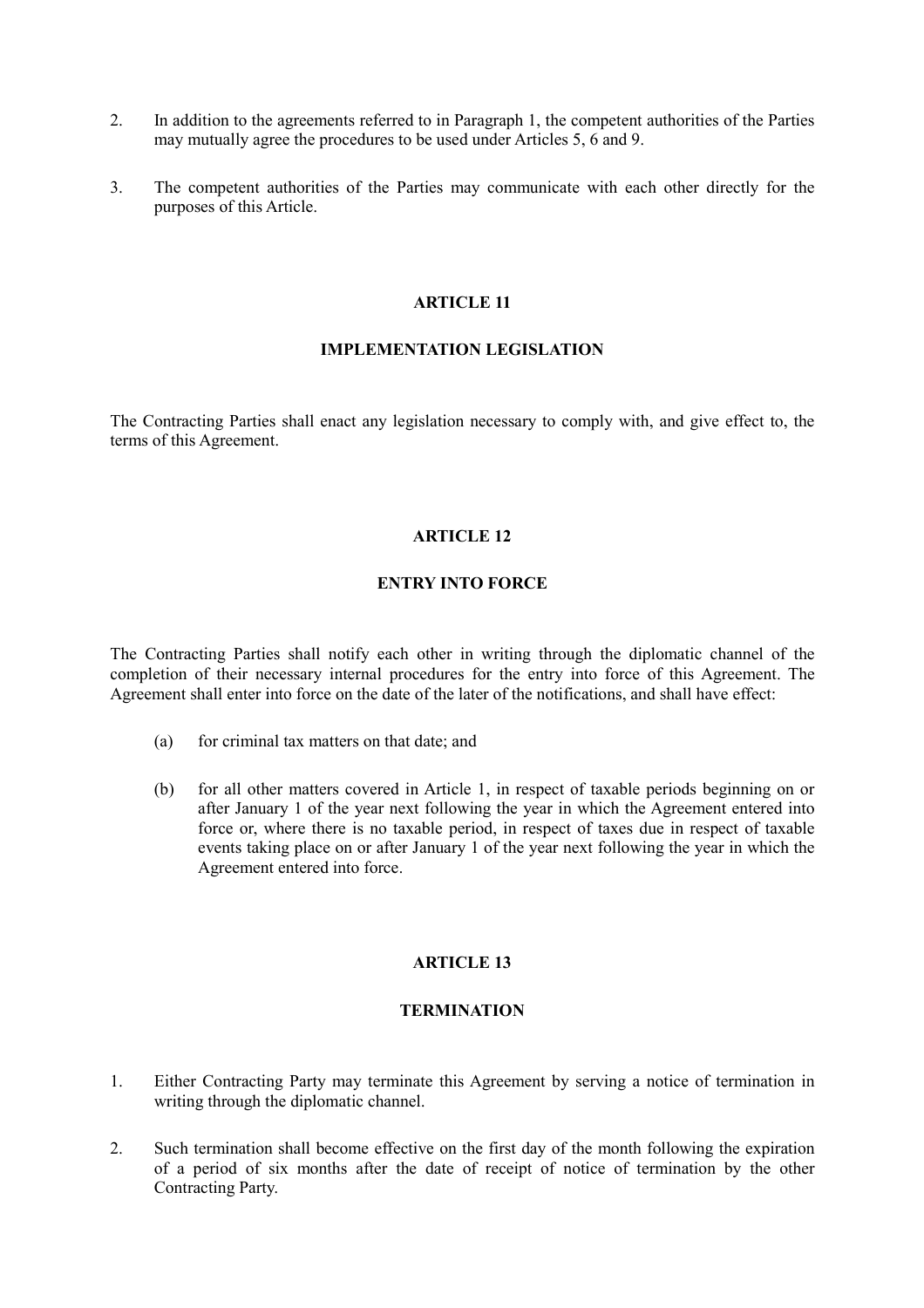- 2. In addition to the agreements referred to in Paragraph 1, the competent authorities of the Parties may mutually agree the procedures to be used under Articles 5, 6 and 9.
- 3. The competent authorities of the Parties may communicate with each other directly for the purposes of this Article.

### IMPLEMENTATION LEGISLATION

The Contracting Parties shall enact any legislation necessary to comply with, and give effect to, the terms of this Agreement.

### ARTICLE 12

#### ENTRY INTO FORCE

The Contracting Parties shall notify each other in writing through the diplomatic channel of the completion of their necessary internal procedures for the entry into force of this Agreement. The Agreement shall enter into force on the date of the later of the notifications, and shall have effect:

- (a) for criminal tax matters on that date; and
- (b) for all other matters covered in Article 1, in respect of taxable periods beginning on or after January 1 of the year next following the year in which the Agreement entered into force or, where there is no taxable period, in respect of taxes due in respect of taxable events taking place on or after January 1 of the year next following the year in which the Agreement entered into force.

### ARTICLE 13

### **TERMINATION**

- 1. Either Contracting Party may terminate this Agreement by serving a notice of termination in writing through the diplomatic channel.
- 2. Such termination shall become effective on the first day of the month following the expiration of a period of six months after the date of receipt of notice of termination by the other Contracting Party.